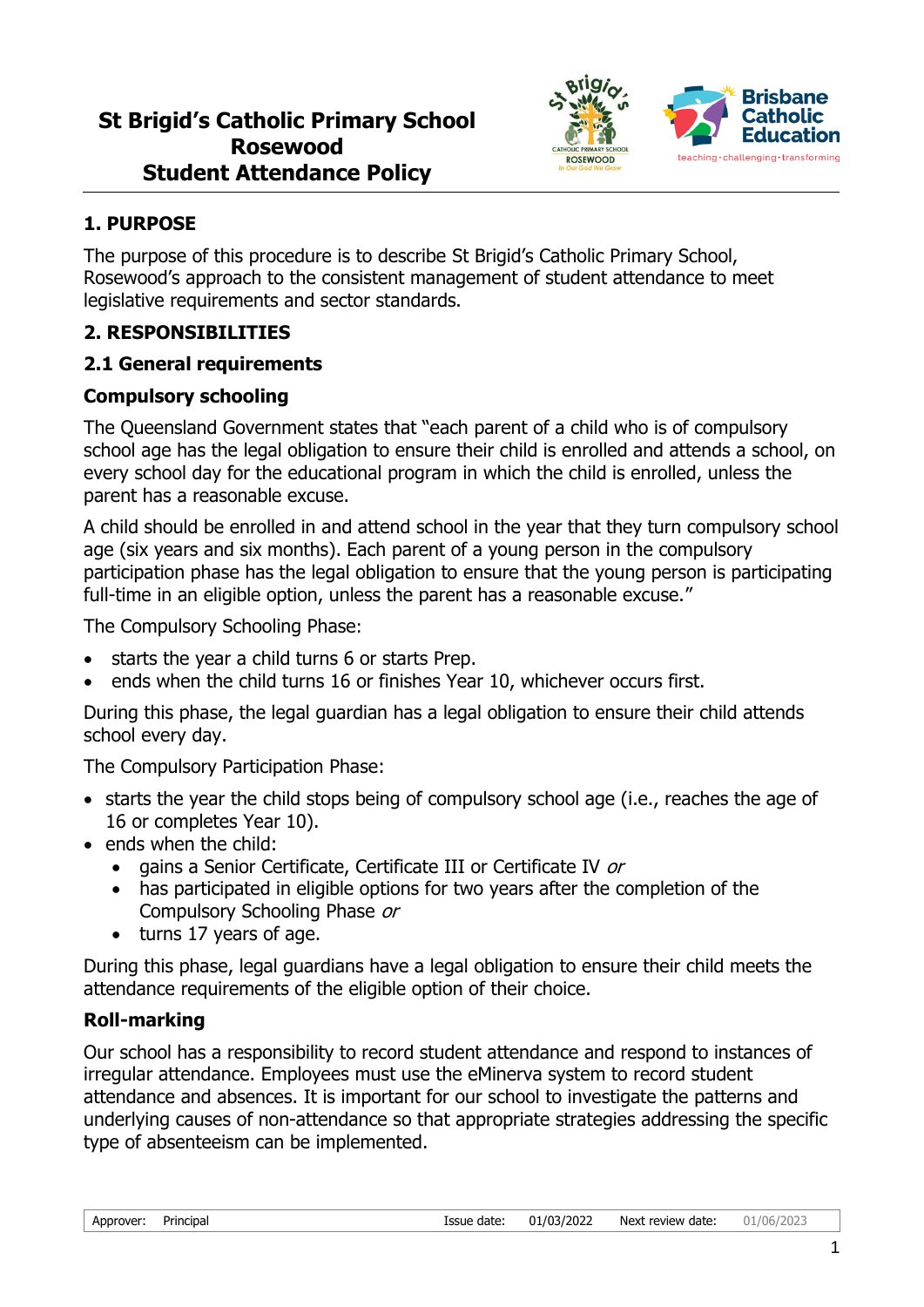

## **1. PURPOSE**

The purpose of this procedure is to describe St Brigid's Catholic Primary School, Rosewood's approach to the consistent management of student attendance to meet legislative requirements and sector standards.

## **2. RESPONSIBILITIES**

#### **2.1 General requirements**

#### **Compulsory schooling**

The Queensland Government states that "each parent of a child who is of compulsory school age has the legal obligation to ensure their child is enrolled and attends a school, on every school day for the educational program in which the child is enrolled, unless the parent has a reasonable excuse.

A child should be enrolled in and attend school in the year that they turn compulsory school age (six years and six months). Each parent of a young person in the compulsory participation phase has the legal obligation to ensure that the young person is participating full-time in an eligible option, unless the parent has a reasonable excuse."

The Compulsory Schooling Phase:

- starts the year a child turns 6 or starts Prep.
- ends when the child turns 16 or finishes Year 10, whichever occurs first.

During this phase, the legal guardian has a legal obligation to ensure their child attends school every day.

The Compulsory Participation Phase:

- starts the year the child stops being of compulsory school age (i.e., reaches the age of 16 or completes Year 10).
- ends when the child:
	- gains a Senior Certificate, Certificate III or Certificate IV or
	- has participated in eligible options for two years after the completion of the Compulsory Schooling Phase or
	- turns 17 years of age.

During this phase, legal guardians have a legal obligation to ensure their child meets the attendance requirements of the eligible option of their choice.

## **Roll-marking**

Our school has a responsibility to record student attendance and respond to instances of irregular attendance. Employees must use the eMinerva system to record student attendance and absences. It is important for our school to investigate the patterns and underlying causes of non-attendance so that appropriate strategies addressing the specific type of absenteeism can be implemented.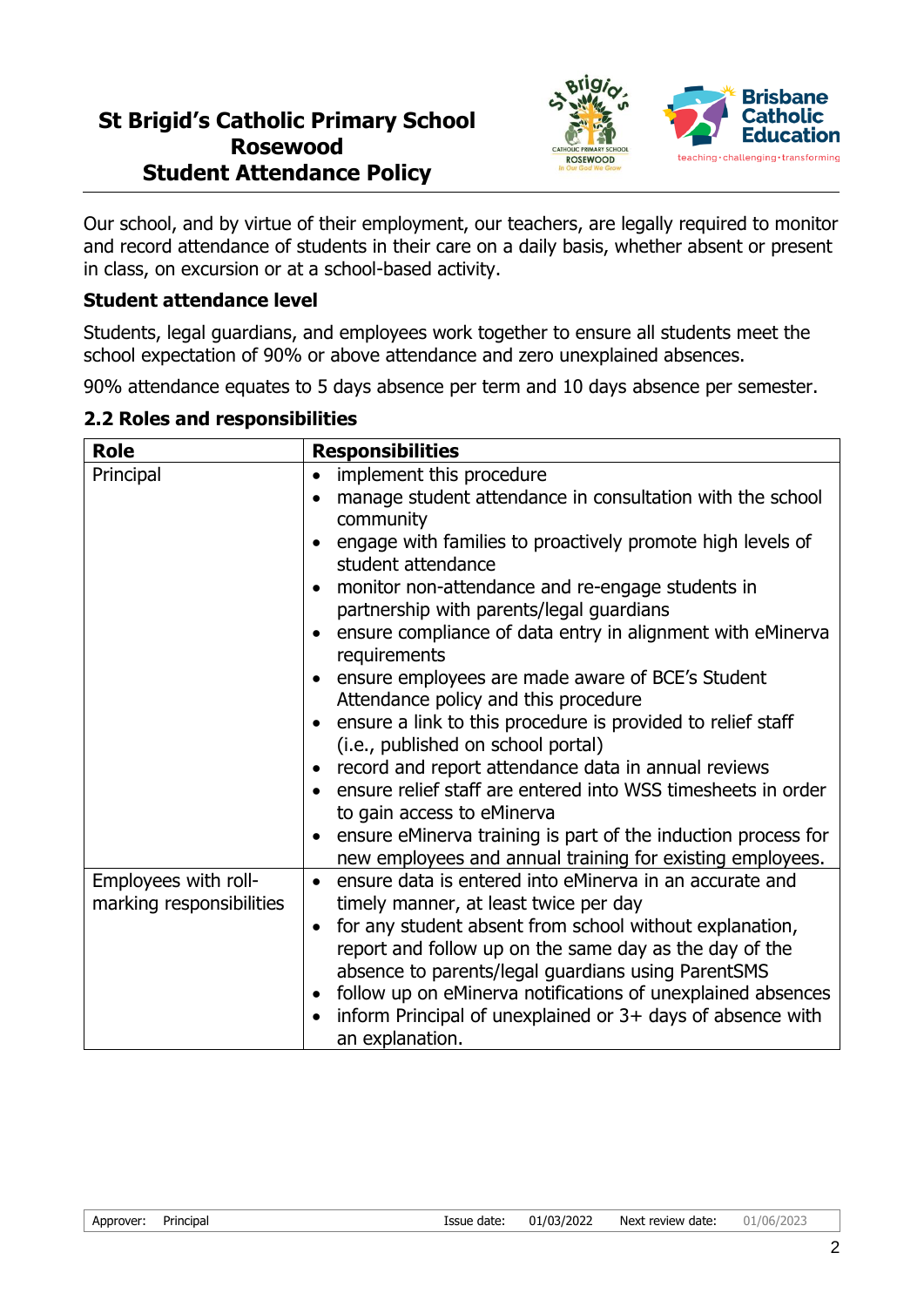

Our school, and by virtue of their employment, our teachers, are legally required to monitor and record attendance of students in their care on a daily basis, whether absent or present in class, on excursion or at a school-based activity.

#### **Student attendance level**

Students, legal guardians, and employees work together to ensure all students meet the school expectation of 90% or above attendance and zero unexplained absences.

90% attendance equates to 5 days absence per term and 10 days absence per semester.

#### **2.2 Roles and responsibilities**

| <b>Role</b>              | <b>Responsibilities</b>                                                |
|--------------------------|------------------------------------------------------------------------|
| Principal                | implement this procedure                                               |
|                          | manage student attendance in consultation with the school<br>$\bullet$ |
|                          | community                                                              |
|                          | engage with families to proactively promote high levels of             |
|                          | student attendance                                                     |
|                          | monitor non-attendance and re-engage students in                       |
|                          | partnership with parents/legal guardians                               |
|                          | ensure compliance of data entry in alignment with eMinerva             |
|                          | requirements                                                           |
|                          | ensure employees are made aware of BCE's Student                       |
|                          | Attendance policy and this procedure                                   |
|                          | ensure a link to this procedure is provided to relief staff            |
|                          | (i.e., published on school portal)                                     |
|                          | record and report attendance data in annual reviews                    |
|                          | ensure relief staff are entered into WSS timesheets in order           |
|                          | to gain access to eMinerva                                             |
|                          | ensure eMinerva training is part of the induction process for          |
|                          | new employees and annual training for existing employees.              |
| Employees with roll-     | ensure data is entered into eMinerva in an accurate and<br>$\bullet$   |
| marking responsibilities | timely manner, at least twice per day                                  |
|                          | for any student absent from school without explanation,<br>$\bullet$   |
|                          | report and follow up on the same day as the day of the                 |
|                          | absence to parents/legal guardians using ParentSMS                     |
|                          | follow up on eMinerva notifications of unexplained absences            |
|                          | inform Principal of unexplained or 3+ days of absence with             |
|                          | an explanation.                                                        |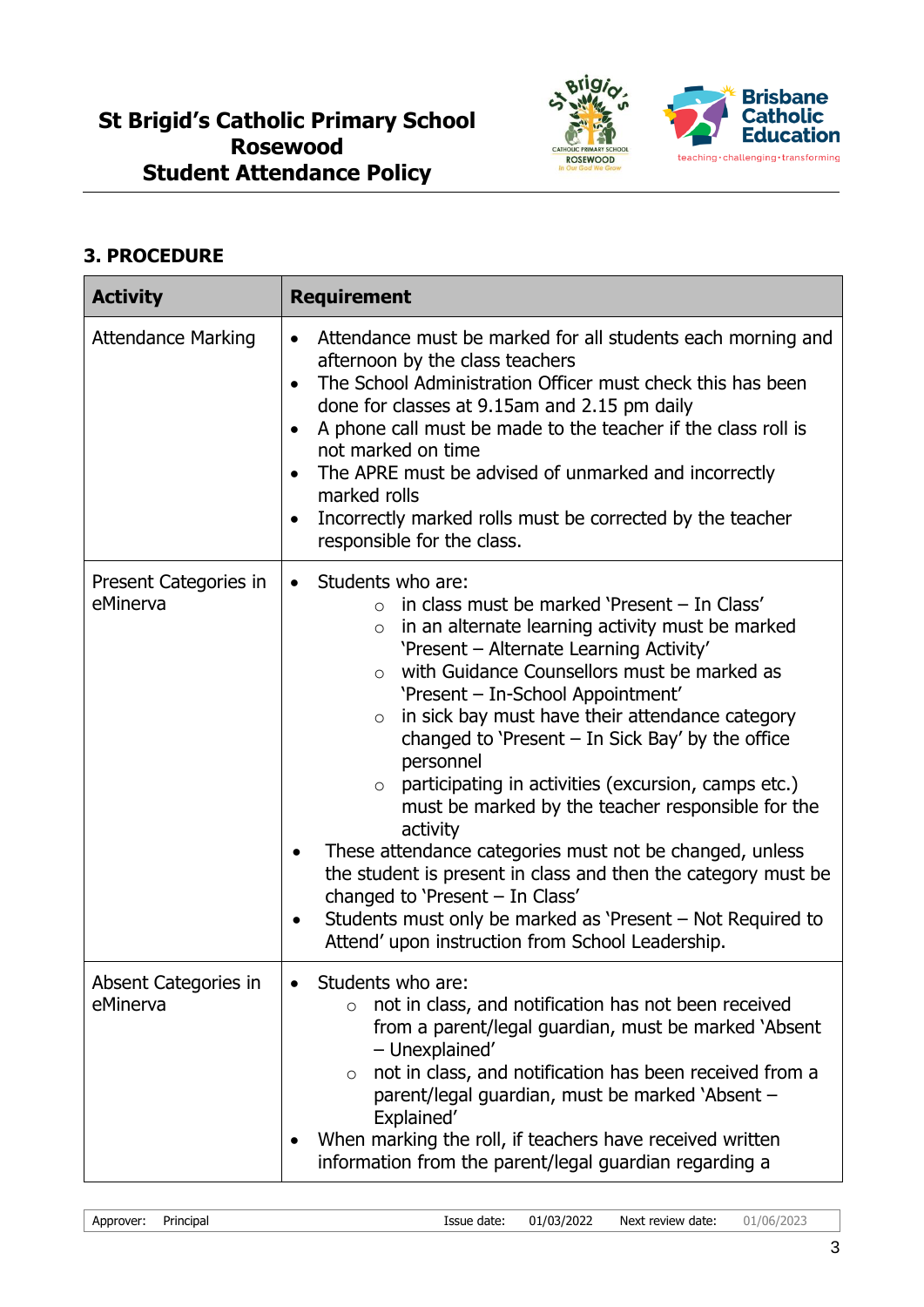

## **3. PROCEDURE**

| <b>Activity</b>                   | <b>Requirement</b>                                                                                                                                                                                                                                                                                                                                                                                                                                                                                                                                                                                                                                                                                                                                                                                                                                                    |
|-----------------------------------|-----------------------------------------------------------------------------------------------------------------------------------------------------------------------------------------------------------------------------------------------------------------------------------------------------------------------------------------------------------------------------------------------------------------------------------------------------------------------------------------------------------------------------------------------------------------------------------------------------------------------------------------------------------------------------------------------------------------------------------------------------------------------------------------------------------------------------------------------------------------------|
| <b>Attendance Marking</b>         | Attendance must be marked for all students each morning and<br>$\bullet$<br>afternoon by the class teachers<br>The School Administration Officer must check this has been<br>done for classes at 9.15am and 2.15 pm daily<br>A phone call must be made to the teacher if the class roll is<br>not marked on time<br>The APRE must be advised of unmarked and incorrectly<br>marked rolls<br>Incorrectly marked rolls must be corrected by the teacher<br>$\bullet$<br>responsible for the class.                                                                                                                                                                                                                                                                                                                                                                      |
| Present Categories in<br>eMinerva | Students who are:<br>$\bullet$<br>in class must be marked 'Present - In Class'<br>$\circ$<br>in an alternate learning activity must be marked<br>$\circ$<br>'Present - Alternate Learning Activity'<br>with Guidance Counsellors must be marked as<br>$\Omega$<br>'Present - In-School Appointment'<br>in sick bay must have their attendance category<br>$\circ$<br>changed to 'Present $-$ In Sick Bay' by the office<br>personnel<br>participating in activities (excursion, camps etc.)<br>$\circ$<br>must be marked by the teacher responsible for the<br>activity<br>These attendance categories must not be changed, unless<br>the student is present in class and then the category must be<br>changed to 'Present - In Class'<br>Students must only be marked as 'Present – Not Required to<br>$\bullet$<br>Attend' upon instruction from School Leadership. |
| Absent Categories in<br>eMinerva  | Students who are:<br>not in class, and notification has not been received<br>$\circ$<br>from a parent/legal guardian, must be marked 'Absent<br>- Unexplained'<br>not in class, and notification has been received from a<br>$\circ$<br>parent/legal guardian, must be marked `Absent -<br>Explained'<br>When marking the roll, if teachers have received written<br>information from the parent/legal guardian regarding a                                                                                                                                                                                                                                                                                                                                                                                                                                           |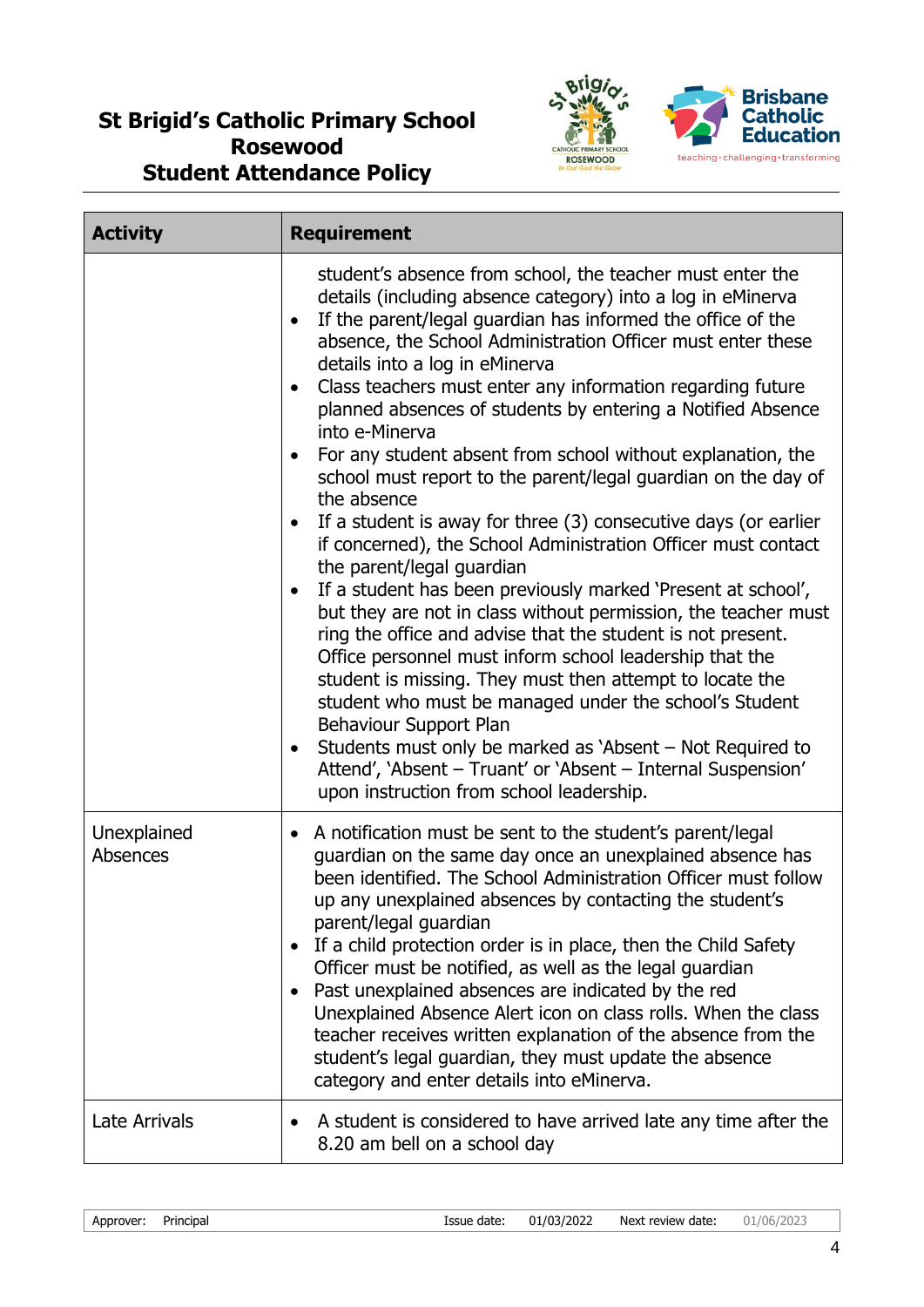

| <b>Activity</b>                | <b>Requirement</b>                                                                                                                                                                                                                                                                                                                                                                                                                                                                                                                                                                                                                                                                                                                                                                                                                                                                                                                                                                                                                                                                                                                                                                                                                                                                                                                                                          |
|--------------------------------|-----------------------------------------------------------------------------------------------------------------------------------------------------------------------------------------------------------------------------------------------------------------------------------------------------------------------------------------------------------------------------------------------------------------------------------------------------------------------------------------------------------------------------------------------------------------------------------------------------------------------------------------------------------------------------------------------------------------------------------------------------------------------------------------------------------------------------------------------------------------------------------------------------------------------------------------------------------------------------------------------------------------------------------------------------------------------------------------------------------------------------------------------------------------------------------------------------------------------------------------------------------------------------------------------------------------------------------------------------------------------------|
|                                | student's absence from school, the teacher must enter the<br>details (including absence category) into a log in eMinerva<br>If the parent/legal guardian has informed the office of the<br>$\bullet$<br>absence, the School Administration Officer must enter these<br>details into a log in eMinerva<br>Class teachers must enter any information regarding future<br>planned absences of students by entering a Notified Absence<br>into e-Minerva<br>For any student absent from school without explanation, the<br>school must report to the parent/legal guardian on the day of<br>the absence<br>If a student is away for three (3) consecutive days (or earlier<br>if concerned), the School Administration Officer must contact<br>the parent/legal guardian<br>If a student has been previously marked 'Present at school',<br>$\bullet$<br>but they are not in class without permission, the teacher must<br>ring the office and advise that the student is not present.<br>Office personnel must inform school leadership that the<br>student is missing. They must then attempt to locate the<br>student who must be managed under the school's Student<br>Behaviour Support Plan<br>Students must only be marked as 'Absent – Not Required to<br>٠<br>Attend', 'Absent - Truant' or 'Absent - Internal Suspension'<br>upon instruction from school leadership. |
| Unexplained<br><b>Absences</b> | • A notification must be sent to the student's parent/legal<br>guardian on the same day once an unexplained absence has<br>been identified. The School Administration Officer must follow<br>up any unexplained absences by contacting the student's<br>parent/legal guardian<br>If a child protection order is in place, then the Child Safety<br>$\bullet$<br>Officer must be notified, as well as the legal guardian<br>Past unexplained absences are indicated by the red<br>$\bullet$<br>Unexplained Absence Alert icon on class rolls. When the class<br>teacher receives written explanation of the absence from the<br>student's legal guardian, they must update the absence<br>category and enter details into eMinerva.                                                                                                                                                                                                                                                                                                                                                                                                                                                                                                                                                                                                                                          |
| <b>Late Arrivals</b>           | A student is considered to have arrived late any time after the<br>$\bullet$<br>8.20 am bell on a school day                                                                                                                                                                                                                                                                                                                                                                                                                                                                                                                                                                                                                                                                                                                                                                                                                                                                                                                                                                                                                                                                                                                                                                                                                                                                |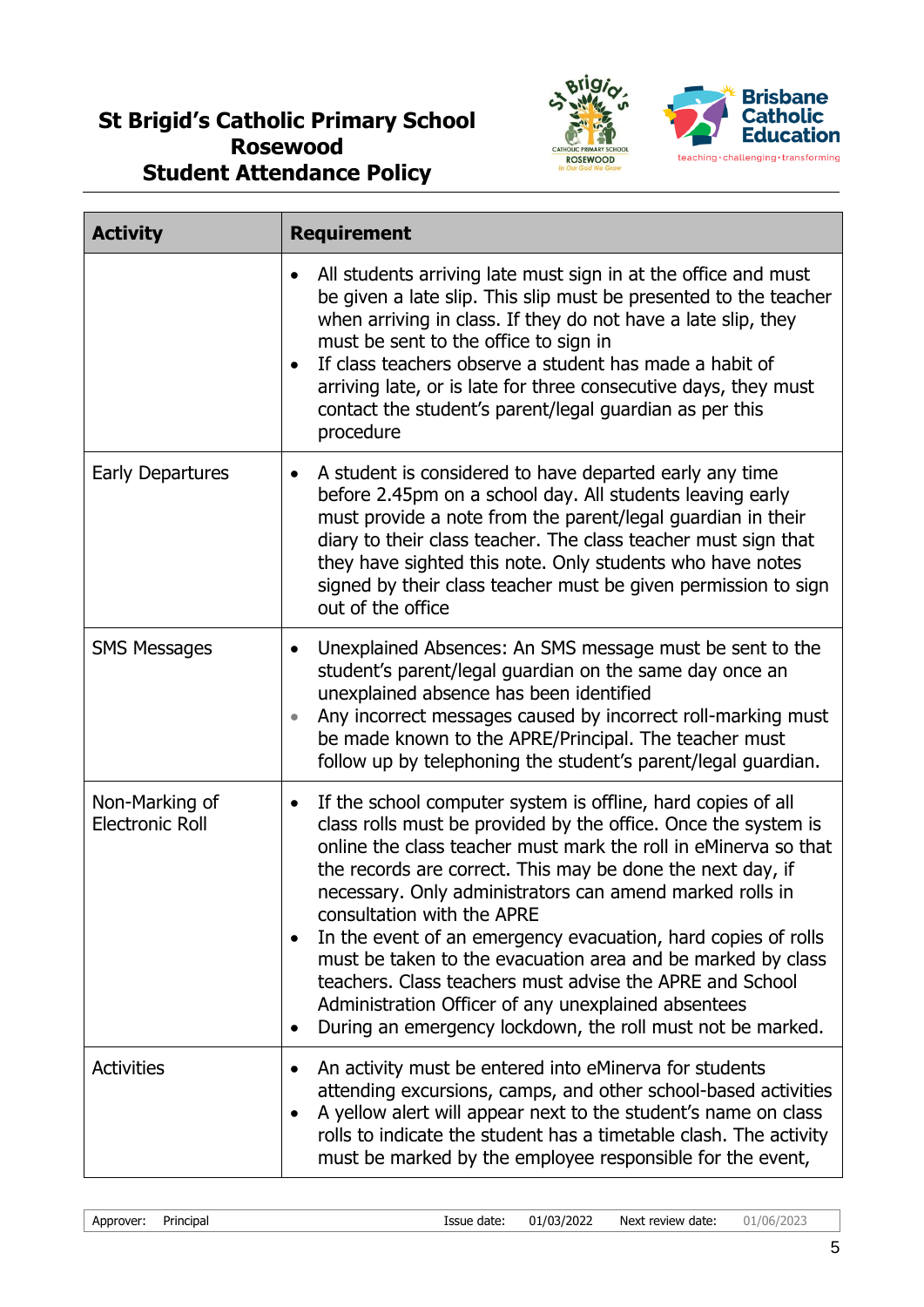

| <b>Activity</b>                          | <b>Requirement</b>                                                                                                                                                                                                                                                                                                                                                                                                                                                                                                                                                                                                                                                                                                |
|------------------------------------------|-------------------------------------------------------------------------------------------------------------------------------------------------------------------------------------------------------------------------------------------------------------------------------------------------------------------------------------------------------------------------------------------------------------------------------------------------------------------------------------------------------------------------------------------------------------------------------------------------------------------------------------------------------------------------------------------------------------------|
|                                          | All students arriving late must sign in at the office and must<br>$\bullet$<br>be given a late slip. This slip must be presented to the teacher<br>when arriving in class. If they do not have a late slip, they<br>must be sent to the office to sign in<br>If class teachers observe a student has made a habit of<br>arriving late, or is late for three consecutive days, they must<br>contact the student's parent/legal guardian as per this<br>procedure                                                                                                                                                                                                                                                   |
| <b>Early Departures</b>                  | A student is considered to have departed early any time<br>$\bullet$<br>before 2.45pm on a school day. All students leaving early<br>must provide a note from the parent/legal guardian in their<br>diary to their class teacher. The class teacher must sign that<br>they have sighted this note. Only students who have notes<br>signed by their class teacher must be given permission to sign<br>out of the office                                                                                                                                                                                                                                                                                            |
| <b>SMS Messages</b>                      | Unexplained Absences: An SMS message must be sent to the<br>$\bullet$<br>student's parent/legal guardian on the same day once an<br>unexplained absence has been identified<br>Any incorrect messages caused by incorrect roll-marking must<br>$\bullet$<br>be made known to the APRE/Principal. The teacher must<br>follow up by telephoning the student's parent/legal guardian.                                                                                                                                                                                                                                                                                                                                |
| Non-Marking of<br><b>Electronic Roll</b> | If the school computer system is offline, hard copies of all<br>$\bullet$<br>class rolls must be provided by the office. Once the system is<br>online the class teacher must mark the roll in eMinerva so that<br>the records are correct. This may be done the next day, if<br>necessary. Only administrators can amend marked rolls in<br>consultation with the APRE<br>In the event of an emergency evacuation, hard copies of rolls<br>$\bullet$<br>must be taken to the evacuation area and be marked by class<br>teachers. Class teachers must advise the APRE and School<br>Administration Officer of any unexplained absentees<br>During an emergency lockdown, the roll must not be marked.<br>$\bullet$ |
| <b>Activities</b>                        | An activity must be entered into eMinerva for students<br>attending excursions, camps, and other school-based activities<br>A yellow alert will appear next to the student's name on class<br>$\bullet$<br>rolls to indicate the student has a timetable clash. The activity<br>must be marked by the employee responsible for the event,                                                                                                                                                                                                                                                                                                                                                                         |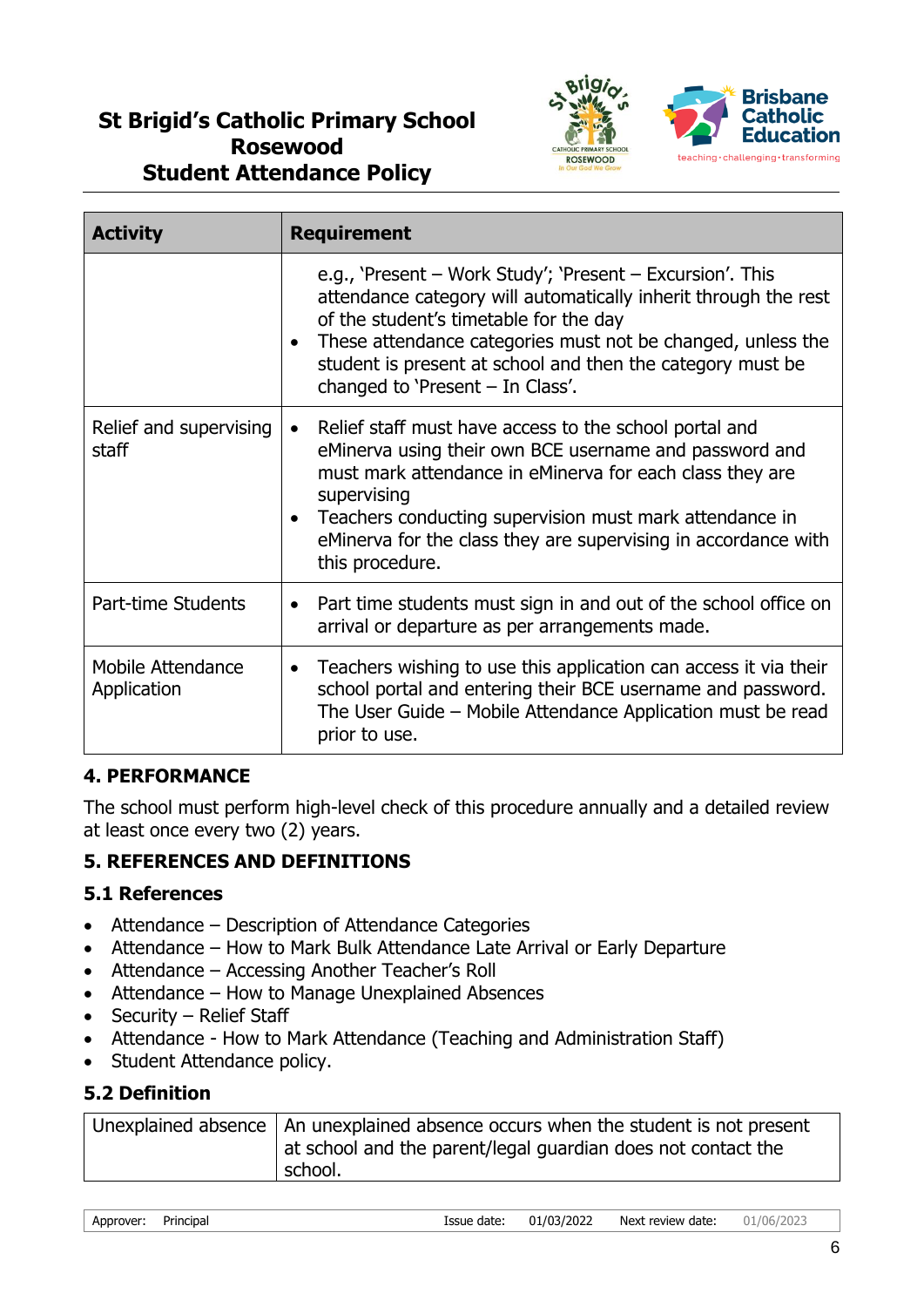

| <b>Activity</b>                  | <b>Requirement</b>                                                                                                                                                                                                                                                                                                                                       |
|----------------------------------|----------------------------------------------------------------------------------------------------------------------------------------------------------------------------------------------------------------------------------------------------------------------------------------------------------------------------------------------------------|
|                                  | e.g., 'Present – Work Study'; 'Present – Excursion'. This<br>attendance category will automatically inherit through the rest<br>of the student's timetable for the day<br>These attendance categories must not be changed, unless the<br>$\bullet$<br>student is present at school and then the category must be<br>changed to 'Present $-$ In Class'.   |
| Relief and supervising<br>staff  | Relief staff must have access to the school portal and<br>$\bullet$<br>eMinerva using their own BCE username and password and<br>must mark attendance in eMinerva for each class they are<br>supervising<br>Teachers conducting supervision must mark attendance in<br>eMinerva for the class they are supervising in accordance with<br>this procedure. |
| Part-time Students               | Part time students must sign in and out of the school office on<br>$\bullet$<br>arrival or departure as per arrangements made.                                                                                                                                                                                                                           |
| Mobile Attendance<br>Application | Teachers wishing to use this application can access it via their<br>$\bullet$<br>school portal and entering their BCE username and password.<br>The User Guide - Mobile Attendance Application must be read<br>prior to use.                                                                                                                             |

## **4. PERFORMANCE**

The school must perform high-level check of this procedure annually and a detailed review at least once every two (2) years.

## **5. REFERENCES AND DEFINITIONS**

## **5.1 References**

- Attendance Description of Attendance Categories
- Attendance How to Mark Bulk Attendance Late Arrival or Early Departure
- Attendance Accessing Another Teacher's Roll
- Attendance How to Manage Unexplained Absences
- Security Relief Staff
- Attendance How to Mark Attendance (Teaching and Administration Staff)
- Student Attendance policy.

## **5.2 Definition**

| Unexplained absence   An unexplained absence occurs when the student is not present |
|-------------------------------------------------------------------------------------|
| at school and the parent/legal guardian does not contact the                        |
| school.                                                                             |